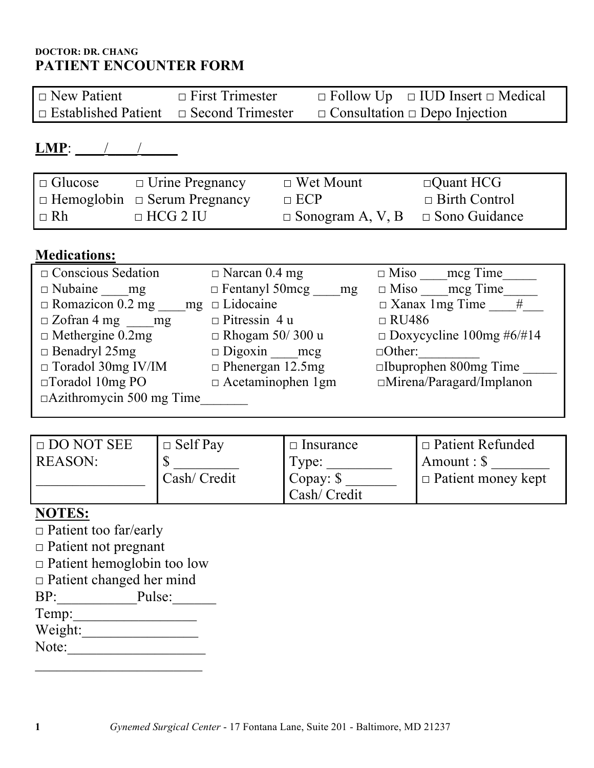# **DOCTOR: DR. CHANG PATIENT ENCOUNTER FORM**

| $\Box$ New Patient                                 | $\Box$ First Trimester | $\Box$ Follow Up $\Box$ IUD Insert $\Box$ Medical |
|----------------------------------------------------|------------------------|---------------------------------------------------|
| $\Box$ Established Patient $\Box$ Second Trimester |                        | $\Box$ Consultation $\Box$ Depo Injection         |

# **LMP**: \_\_\_\_/\_\_\_\_/\_\_\_\_\_

| $\Box$ Glucose | $\Box$ Urine Pregnancy                   | $\Box$ Wet Mount                             | $\Box$ Quant HCG     |
|----------------|------------------------------------------|----------------------------------------------|----------------------|
|                | $\Box$ Hemoglobin $\Box$ Serum Pregnancy | $\Box$ ECP                                   | $\Box$ Birth Control |
| $\Box$ Rh      | $\Box$ HCG 2 IU                          | $\Box$ Sonogram A, V, B $\Box$ Sono Guidance |                      |

# **Medications:**

| $\Box$ Conscious Sedation       | $\Box$ Narcan 0.4 mg        | mcg Time<br>$\Box$ Miso         |
|---------------------------------|-----------------------------|---------------------------------|
| $\Box$ Nubaine<br>mg            | $\Box$ Fentanyl 50mcg<br>mg | meg Time<br>$\Box$ Miso         |
| $\Box$ Romazicon 0.2 mg<br>mg   | $\Box$ Lidocaine            | $\Box$ Xanax 1 mg Time<br>#     |
| $\Box$ Zofran 4 mg mg           | $\Box$ Pitressin 4 u        | $\Box$ RU486                    |
| $\Box$ Methergine 0.2mg         | $\Box$ Rhogam 50/300 u      | $\Box$ Doxycycline 100mg #6/#14 |
| $\Box$ Benadryl 25mg            | $\Box$ Digoxin mcg          | $\Box$ Other:                   |
| $\Box$ Toradol 30mg IV/IM       | $\Box$ Phenergan 12.5mg     | $\square$ Ibuprophen 800mg Time |
| $\Box$ Toradol 10mg PO          | $\Box$ Acetaminophen 1gm    | $\Box$ Mirena/Paragard/Implanon |
| $\Box$ Azithromycin 500 mg Time |                             |                                 |

| $\Box$ DO NOT SEE | $\Box$ Self Pay | $\Box$ Insurance | $\Box$ Patient Refunded   |
|-------------------|-----------------|------------------|---------------------------|
| <b>REASON:</b>    |                 | Type:            | $\forall$ Amount : \$     |
|                   | Cash/ Credit    | Copay: \$        | $\Box$ Patient money kept |
|                   |                 | Cash/ Credit     |                           |

# **NOTES:**

- □ Patient too far/early
- □ Patient not pregnant
- □ Patient hemoglobin too low
- □ Patient changed her mind
- $BP:$  Pulse: Temp:\_\_\_\_\_\_\_\_\_\_\_\_\_\_\_\_\_ Weight:
- Note:\_\_\_\_\_\_\_\_\_\_\_\_\_\_\_\_\_\_\_  $\mathcal{L}_\text{max}$  , where  $\mathcal{L}_\text{max}$  and  $\mathcal{L}_\text{max}$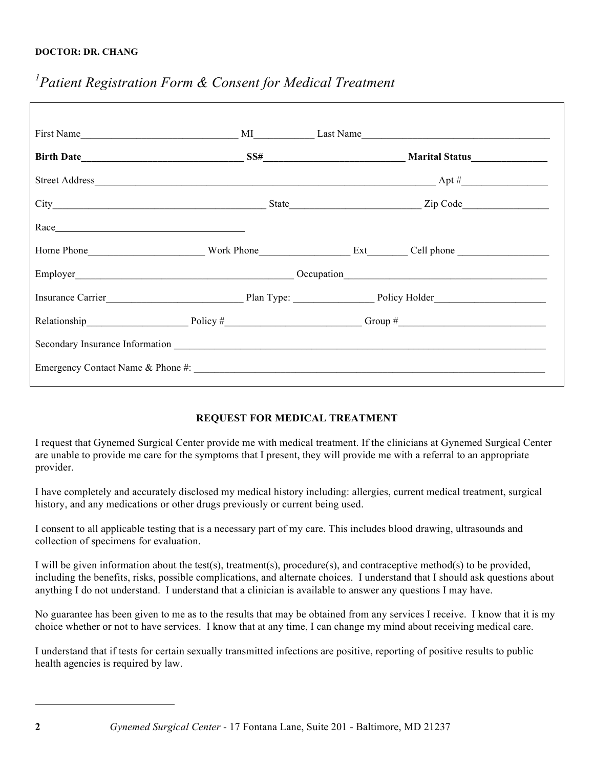# *1 Patient Registration Form & Consent for Medical Treatment*

| $\text{Race}\_$                                                                  |  |  |
|----------------------------------------------------------------------------------|--|--|
| Home Phone North Work Phone North Base Cell phone Number 2012                    |  |  |
|                                                                                  |  |  |
|                                                                                  |  |  |
| Relationship Policy # $\frac{1}{2}$ Policy # $\frac{1}{2}$ Group # $\frac{1}{2}$ |  |  |
|                                                                                  |  |  |
| Emergency Contact Name & Phone #:                                                |  |  |
|                                                                                  |  |  |

### **REQUEST FOR MEDICAL TREATMENT**

I request that Gynemed Surgical Center provide me with medical treatment. If the clinicians at Gynemed Surgical Center are unable to provide me care for the symptoms that I present, they will provide me with a referral to an appropriate provider.

I have completely and accurately disclosed my medical history including: allergies, current medical treatment, surgical history, and any medications or other drugs previously or current being used.

I consent to all applicable testing that is a necessary part of my care. This includes blood drawing, ultrasounds and collection of specimens for evaluation.

I will be given information about the test(s), treatment(s), procedure(s), and contraceptive method(s) to be provided, including the benefits, risks, possible complications, and alternate choices. I understand that I should ask questions about anything I do not understand. I understand that a clinician is available to answer any questions I may have.

No guarantee has been given to me as to the results that may be obtained from any services I receive. I know that it is my choice whether or not to have services. I know that at any time, I can change my mind about receiving medical care.

I understand that if tests for certain sexually transmitted infections are positive, reporting of positive results to public health agencies is required by law.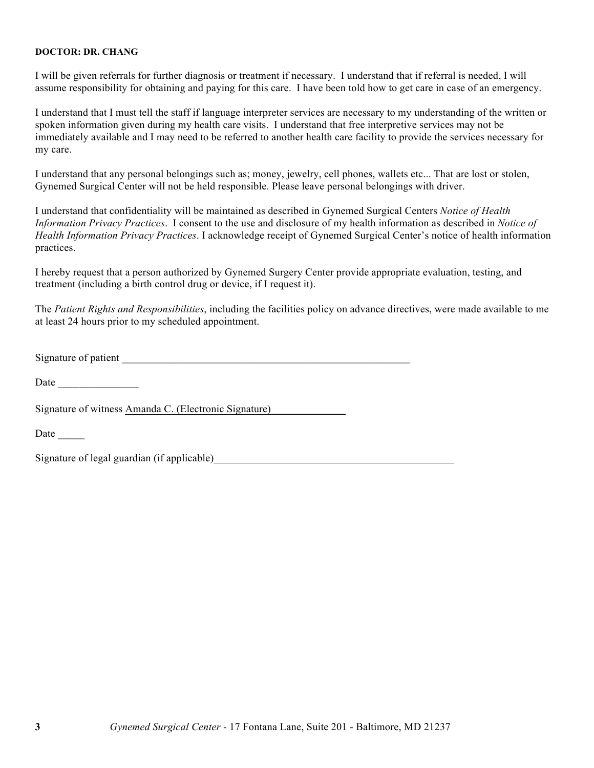I will be given referrals for further diagnosis or treatment if necessary. I understand that if referral is needed, I will assume responsibility for obtaining and paying for this care. I have been told how to get care in case of an emergency.

I understand that I must tell the staff if language interpreter services are necessary to my understanding of the written or spoken information given during my health care visits. I understand that free interpretive services may not be immediately available and I may need to be referred to another health care facility to provide the services necessary for my care.

I understand that any personal belongings such as; money, jewelry, cell phones, wallets etc... That are lost or stolen, Gynemed Surgical Center will not be held responsible. Please leave personal belongings with driver.

I understand that confidentiality will be maintained as described in Gynemed Surgical Centers *Notice of Health Information Privacy Practices*. I consent to the use and disclosure of my health information as described in *Notice of Health Information Privacy Practices*. I acknowledge receipt of Gynemed Surgical Center's notice of health information practices.

I hereby request that a person authorized by Gynemed Surgery Center provide appropriate evaluation, testing, and treatment (including a birth control drug or device, if I request it).

The *Patient Rights and Responsibilities*, including the facilities policy on advance directives, were made available to me at least 24 hours prior to my scheduled appointment.

Signature of patient  $\overline{\mathcal{S}}$ 

Date  $\Box$ 

Signature of witness Amanda C. (Electronic Signature)\_\_\_\_\_\_\_\_\_\_\_\_\_\_

Date

Signature of legal guardian (if applicable)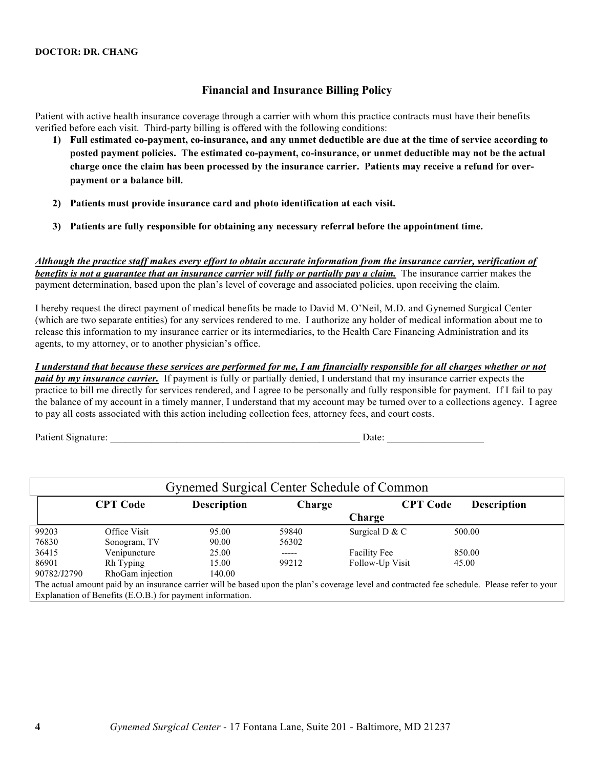### **Financial and Insurance Billing Policy**

Patient with active health insurance coverage through a carrier with whom this practice contracts must have their benefits verified before each visit. Third-party billing is offered with the following conditions:

- **1) Full estimated co-payment, co-insurance, and any unmet deductible are due at the time of service according to posted payment policies. The estimated co-payment, co-insurance, or unmet deductible may not be the actual charge once the claim has been processed by the insurance carrier. Patients may receive a refund for overpayment or a balance bill.**
- **2) Patients must provide insurance card and photo identification at each visit.**
- **3) Patients are fully responsible for obtaining any necessary referral before the appointment time.**

*Although the practice staff makes every effort to obtain accurate information from the insurance carrier, verification of benefits is not a guarantee that an insurance carrier will fully or partially pay a claim.* The insurance carrier makes the payment determination, based upon the plan's level of coverage and associated policies, upon receiving the claim.

I hereby request the direct payment of medical benefits be made to David M. O'Neil, M.D. and Gynemed Surgical Center (which are two separate entities) for any services rendered to me. I authorize any holder of medical information about me to release this information to my insurance carrier or its intermediaries, to the Health Care Financing Administration and its agents, to my attorney, or to another physician's office.

*I understand that because these services are performed for me, I am financially responsible for all charges whether or not paid by my insurance carrier.* If payment is fully or partially denied, I understand that my insurance carrier expects the practice to bill me directly for services rendered, and I agree to be personally and fully responsible for payment. If I fail to pay the balance of my account in a timely manner, I understand that my account may be turned over to a collections agency. I agree to pay all costs associated with this action including collection fees, attorney fees, and court costs.

Patient Signature:  $\Box$ 

| Gynemed Surgical Center Schedule of Common |                                                           |                    |             |                                                                                                                                               |                    |
|--------------------------------------------|-----------------------------------------------------------|--------------------|-------------|-----------------------------------------------------------------------------------------------------------------------------------------------|--------------------|
|                                            | <b>CPT Code</b>                                           | <b>Description</b> | Charge      | <b>CPT Code</b>                                                                                                                               | <b>Description</b> |
|                                            |                                                           |                    |             | Charge                                                                                                                                        |                    |
| 99203                                      | Office Visit                                              | 95.00              | 59840       | Surgical D & C                                                                                                                                | 500.00             |
| 76830                                      | Sonogram, TV                                              | 90.00              | 56302       |                                                                                                                                               |                    |
| 36415                                      | Venipuncture                                              | 25.00              | $- - - - -$ | <b>Facility Fee</b>                                                                                                                           | 850.00             |
| 86901                                      | Rh Typing                                                 | 15.00              | 99212       | Follow-Up Visit                                                                                                                               | 45.00              |
| 90782/J2790                                | RhoGam injection                                          | 140.00             |             |                                                                                                                                               |                    |
|                                            |                                                           |                    |             | The actual amount paid by an insurance carrier will be based upon the plan's coverage level and contracted fee schedule. Please refer to your |                    |
|                                            | Explanation of Benefits (E.O.B.) for payment information. |                    |             |                                                                                                                                               |                    |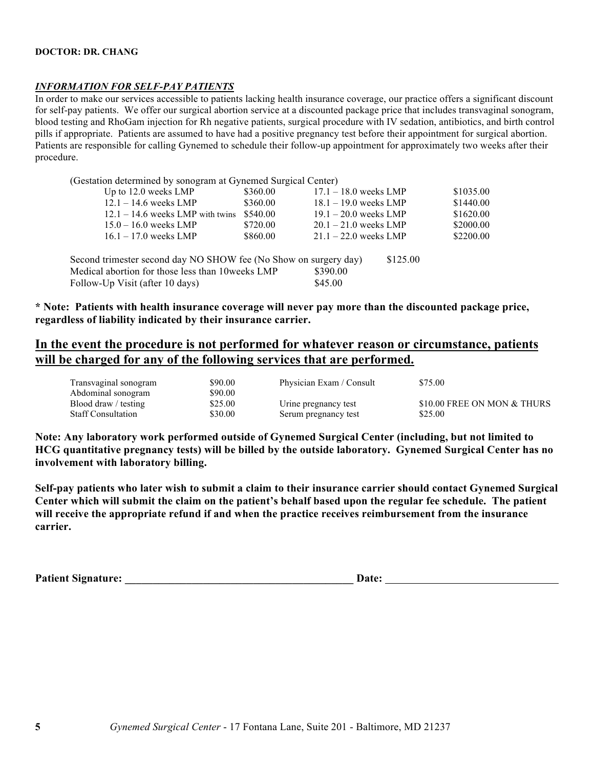#### *INFORMATION FOR SELF-PAY PATIENTS*

In order to make our services accessible to patients lacking health insurance coverage, our practice offers a significant discount for self-pay patients. We offer our surgical abortion service at a discounted package price that includes transvaginal sonogram, blood testing and RhoGam injection for Rh negative patients, surgical procedure with IV sedation, antibiotics, and birth control pills if appropriate. Patients are assumed to have had a positive pregnancy test before their appointment for surgical abortion. Patients are responsible for calling Gynemed to schedule their follow-up appointment for approximately two weeks after their procedure.

| (Gestation determined by sonogram at Gynemed Surgical Center)    |          |                         |          |           |
|------------------------------------------------------------------|----------|-------------------------|----------|-----------|
| Up to 12.0 weeks LMP                                             | \$360.00 | $17.1 - 18.0$ weeks LMP |          | \$1035.00 |
| $12.1 - 14.6$ weeks LMP                                          | \$360.00 | $18.1 - 19.0$ weeks LMP |          | \$1440.00 |
| $12.1 - 14.6$ weeks LMP with twins                               | \$540.00 | $19.1 - 20.0$ weeks LMP |          | \$1620.00 |
| $15.0 - 16.0$ weeks LMP                                          | \$720.00 | $20.1 - 21.0$ weeks LMP |          | \$2000.00 |
| $16.1 - 17.0$ weeks LMP                                          | \$860.00 | $21.1 - 22.0$ weeks LMP |          | \$2200.00 |
| Second trimester second day NO SHOW fee (No Show on surgery day) |          |                         | \$125.00 |           |
| Medical abortion for those less than 10 weeks LMP                |          | \$390.00                |          |           |
| Follow-Up Visit (after 10 days)                                  |          | \$45.00                 |          |           |
|                                                                  |          |                         |          |           |

**\* Note: Patients with health insurance coverage will never pay more than the discounted package price, regardless of liability indicated by their insurance carrier.**

# **In the event the procedure is not performed for whatever reason or circumstance, patients will be charged for any of the following services that are performed.**

| Transvaginal sonogram     | \$90.00 | Physician Exam / Consult | \$75.00                     |
|---------------------------|---------|--------------------------|-----------------------------|
| Abdominal sonogram        | \$90.00 |                          |                             |
| Blood draw / testing      | \$25.00 | Urine pregnancy test     | \$10.00 FREE ON MON & THURS |
| <b>Staff Consultation</b> | \$30.00 | Serum pregnancy test     | \$25.00                     |

**Note: Any laboratory work performed outside of Gynemed Surgical Center (including, but not limited to HCG quantitative pregnancy tests) will be billed by the outside laboratory. Gynemed Surgical Center has no involvement with laboratory billing.** 

**Self-pay patients who later wish to submit a claim to their insurance carrier should contact Gynemed Surgical Center which will submit the claim on the patient's behalf based upon the regular fee schedule. The patient will receive the appropriate refund if and when the practice receives reimbursement from the insurance carrier.**

Patient Signature: **Example 2018** 2 and 2 and 2 and 2 and 2 and 2 and 2 and 2 and 2 and 2 and 2 and 2 and 2 and 2 and 2 and 2 and 2 and 2 and 2 and 2 and 2 and 2 and 2 and 2 and 2 and 2 and 2 and 2 and 2 and 2 and 2 and 2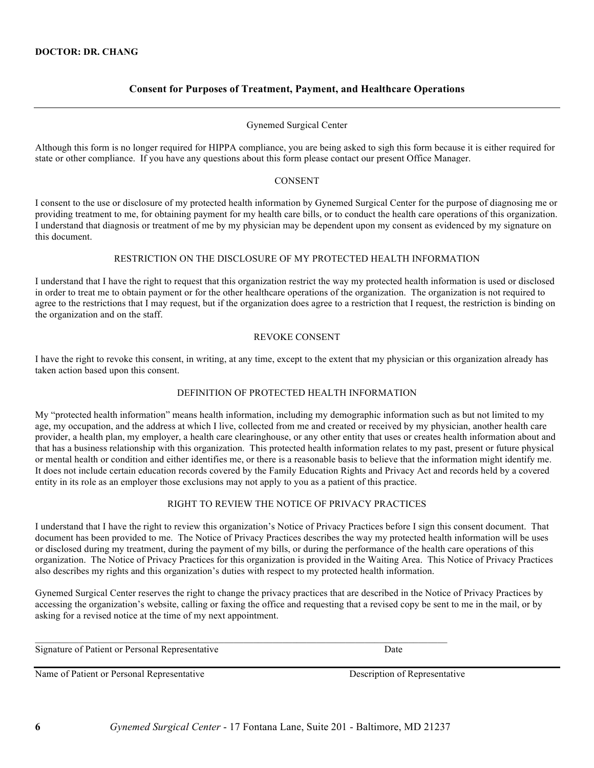#### **Consent for Purposes of Treatment, Payment, and Healthcare Operations**

#### Gynemed Surgical Center

Although this form is no longer required for HIPPA compliance, you are being asked to sigh this form because it is either required for state or other compliance. If you have any questions about this form please contact our present Office Manager.

#### CONSENT

I consent to the use or disclosure of my protected health information by Gynemed Surgical Center for the purpose of diagnosing me or providing treatment to me, for obtaining payment for my health care bills, or to conduct the health care operations of this organization. I understand that diagnosis or treatment of me by my physician may be dependent upon my consent as evidenced by my signature on this document.

#### RESTRICTION ON THE DISCLOSURE OF MY PROTECTED HEALTH INFORMATION

I understand that I have the right to request that this organization restrict the way my protected health information is used or disclosed in order to treat me to obtain payment or for the other healthcare operations of the organization. The organization is not required to agree to the restrictions that I may request, but if the organization does agree to a restriction that I request, the restriction is binding on the organization and on the staff.

#### REVOKE CONSENT

I have the right to revoke this consent, in writing, at any time, except to the extent that my physician or this organization already has taken action based upon this consent.

#### DEFINITION OF PROTECTED HEALTH INFORMATION

My "protected health information" means health information, including my demographic information such as but not limited to my age, my occupation, and the address at which I live, collected from me and created or received by my physician, another health care provider, a health plan, my employer, a health care clearinghouse, or any other entity that uses or creates health information about and that has a business relationship with this organization. This protected health information relates to my past, present or future physical or mental health or condition and either identifies me, or there is a reasonable basis to believe that the information might identify me. It does not include certain education records covered by the Family Education Rights and Privacy Act and records held by a covered entity in its role as an employer those exclusions may not apply to you as a patient of this practice.

#### RIGHT TO REVIEW THE NOTICE OF PRIVACY PRACTICES

I understand that I have the right to review this organization's Notice of Privacy Practices before I sign this consent document. That document has been provided to me. The Notice of Privacy Practices describes the way my protected health information will be uses or disclosed during my treatment, during the payment of my bills, or during the performance of the health care operations of this organization. The Notice of Privacy Practices for this organization is provided in the Waiting Area. This Notice of Privacy Practices also describes my rights and this organization's duties with respect to my protected health information.

Gynemed Surgical Center reserves the right to change the privacy practices that are described in the Notice of Privacy Practices by accessing the organization's website, calling or faxing the office and requesting that a revised copy be sent to me in the mail, or by asking for a revised notice at the time of my next appointment.

Signature of Patient or Personal Representative Date

Name of Patient or Personal Representative Description of Representative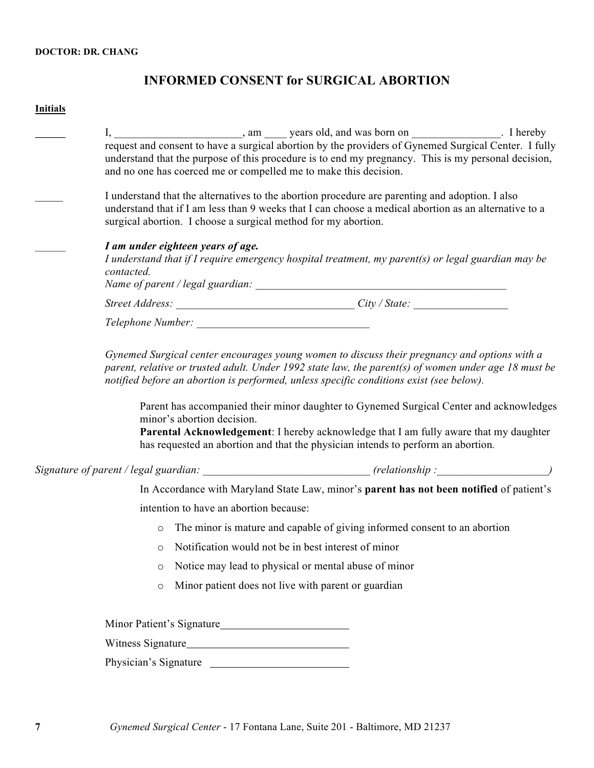# **INFORMED CONSENT for SURGICAL ABORTION**

### **Initials**

| request and consent to have a surgical abortion by the providers of Gynemed Surgical Center. I fully<br>understand that the purpose of this procedure is to end my pregnancy. This is my personal decision,<br>and no one has coerced me or compelled me to make this decision.                                                                                                            |
|--------------------------------------------------------------------------------------------------------------------------------------------------------------------------------------------------------------------------------------------------------------------------------------------------------------------------------------------------------------------------------------------|
| I understand that the alternatives to the abortion procedure are parenting and adoption. I also<br>understand that if I am less than 9 weeks that I can choose a medical abortion as an alternative to a<br>surgical abortion. I choose a surgical method for my abortion.                                                                                                                 |
| I am under eighteen years of age.<br>I understand that if I require emergency hospital treatment, my parent(s) or legal guardian may be<br>contacted.                                                                                                                                                                                                                                      |
|                                                                                                                                                                                                                                                                                                                                                                                            |
| Telephone Number: New York 2014                                                                                                                                                                                                                                                                                                                                                            |
| Gynemed Surgical center encourages young women to discuss their pregnancy and options with a<br>parent, relative or trusted adult. Under 1992 state law, the parent(s) of women under age 18 must be<br>notified before an abortion is performed, unless specific conditions exist (see below).<br>Parent has accompanied their minor daughter to Gynemed Surgical Center and acknowledges |
| minor's abortion decision.<br>Parental Acknowledgement: I hereby acknowledge that I am fully aware that my daughter<br>has requested an abortion and that the physician intends to perform an abortion.                                                                                                                                                                                    |
|                                                                                                                                                                                                                                                                                                                                                                                            |
| In Accordance with Maryland State Law, minor's parent has not been notified of patient's                                                                                                                                                                                                                                                                                                   |
| intention to have an abortion because:                                                                                                                                                                                                                                                                                                                                                     |
| The minor is mature and capable of giving informed consent to an abortion<br>$\circ$                                                                                                                                                                                                                                                                                                       |
| Notification would not be in best interest of minor<br>$\circ$                                                                                                                                                                                                                                                                                                                             |
| Notice may lead to physical or mental abuse of minor<br>$\circ$                                                                                                                                                                                                                                                                                                                            |
| Minor patient does not live with parent or guardian<br>$\circ$                                                                                                                                                                                                                                                                                                                             |
| Minor Patient's Signature                                                                                                                                                                                                                                                                                                                                                                  |
| Witness Signature                                                                                                                                                                                                                                                                                                                                                                          |
| Physician's Signature                                                                                                                                                                                                                                                                                                                                                                      |
|                                                                                                                                                                                                                                                                                                                                                                                            |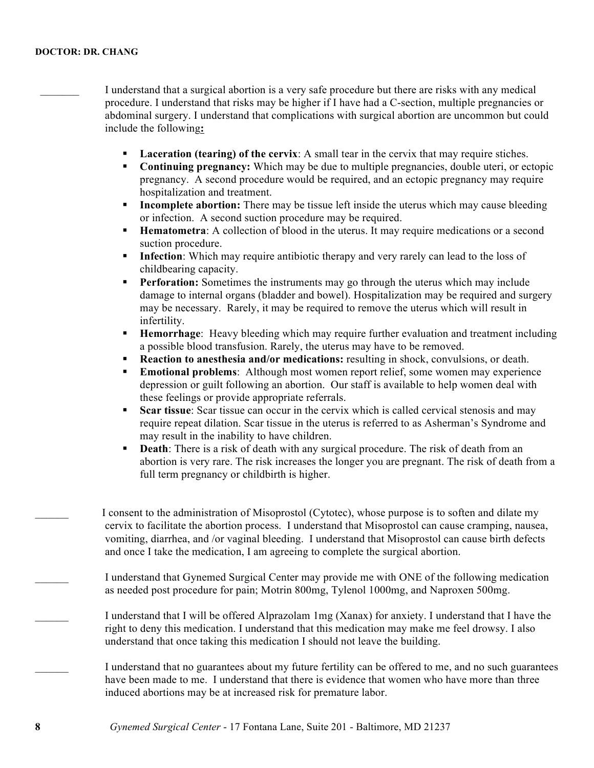I understand that a surgical abortion is a very safe procedure but there are risks with any medical procedure. I understand that risks may be higher if I have had a C-section, multiple pregnancies or abdominal surgery. I understand that complications with surgical abortion are uncommon but could include the following**:**

- ! **Laceration (tearing) of the cervix**: A small tear in the cervix that may require stiches.
- ! **Continuing pregnancy:** Which may be due to multiple pregnancies, double uteri, or ectopic pregnancy. A second procedure would be required, and an ectopic pregnancy may require hospitalization and treatment.
- **Incomplete abortion:** There may be tissue left inside the uterus which may cause bleeding or infection. A second suction procedure may be required.
- ! **Hematometra**: A collection of blood in the uterus. It may require medications or a second suction procedure.
- **Infection**: Which may require antibiotic therapy and very rarely can lead to the loss of childbearing capacity.
- **Perforation:** Sometimes the instruments may go through the uterus which may include damage to internal organs (bladder and bowel). Hospitalization may be required and surgery may be necessary. Rarely, it may be required to remove the uterus which will result in infertility.
- ! **Hemorrhage**: Heavy bleeding which may require further evaluation and treatment including a possible blood transfusion. Rarely, the uterus may have to be removed.
- ! **Reaction to anesthesia and/or medications:** resulting in shock, convulsions, or death.
- ! **Emotional problems**: Although most women report relief, some women may experience depression or guilt following an abortion. Our staff is available to help women deal with these feelings or provide appropriate referrals.
- ! **Scar tissue**: Scar tissue can occur in the cervix which is called cervical stenosis and may require repeat dilation. Scar tissue in the uterus is referred to as Asherman's Syndrome and may result in the inability to have children.
- ! **Death**: There is a risk of death with any surgical procedure. The risk of death from an abortion is very rare. The risk increases the longer you are pregnant. The risk of death from a full term pregnancy or childbirth is higher.

I consent to the administration of Misoprostol (Cytotec), whose purpose is to soften and dilate my cervix to facilitate the abortion process. I understand that Misoprostol can cause cramping, nausea, vomiting, diarrhea, and /or vaginal bleeding. I understand that Misoprostol can cause birth defects and once I take the medication, I am agreeing to complete the surgical abortion.

\_\_\_\_\_\_ I understand that Gynemed Surgical Center may provide me with ONE of the following medication as needed post procedure for pain; Motrin 800mg, Tylenol 1000mg, and Naproxen 500mg.

\_\_\_\_\_\_ I understand that I will be offered Alprazolam 1mg (Xanax) for anxiety. I understand that I have the right to deny this medication. I understand that this medication may make me feel drowsy. I also understand that once taking this medication I should not leave the building.

I understand that no guarantees about my future fertility can be offered to me, and no such guarantees have been made to me. I understand that there is evidence that women who have more than three induced abortions may be at increased risk for premature labor.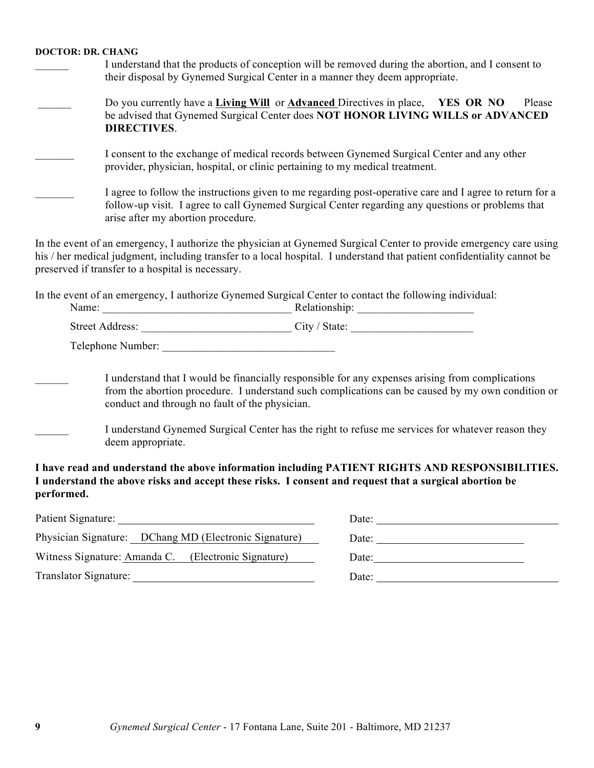- I understand that the products of conception will be removed during the abortion, and I consent to their disposal by Gynemed Surgical Center in a manner they deem appropriate.
- \_\_\_\_\_\_ Do you currently have a **Living Will** or **Advanced** Directives in place, **YES OR NO** Please be advised that Gynemed Surgical Center does **NOT HONOR LIVING WILLS or ADVANCED DIRECTIVES**.
- I consent to the exchange of medical records between Gynemed Surgical Center and any other provider, physician, hospital, or clinic pertaining to my medical treatment.

| I agree to follow the instructions given to me regarding post-operative care and I agree to return for a |
|----------------------------------------------------------------------------------------------------------|
| follow-up visit. I agree to call Gynemed Surgical Center regarding any questions or problems that        |
| arise after my abortion procedure.                                                                       |

In the event of an emergency, I authorize the physician at Gynemed Surgical Center to provide emergency care using his / her medical judgment, including transfer to a local hospital. I understand that patient confidentiality cannot be preserved if transfer to a hospital is necessary.

In the event of an emergency, I authorize Gynemed Surgical Center to contact the following individual:

| Name:                      | Relationship: |  |
|----------------------------|---------------|--|
| <b>Street Address:</b>     | City / State: |  |
| $\sim$ 1 1<br>$\mathbf{v}$ |               |  |

Telephone Number:

I understand that I would be financially responsible for any expenses arising from complications from the abortion procedure. I understand such complications can be caused by my own condition or conduct and through no fault of the physician.

I understand Gynemed Surgical Center has the right to refuse me services for whatever reason they deem appropriate.

**I have read and understand the above information including PATIENT RIGHTS AND RESPONSIBILITIES. I understand the above risks and accept these risks. I consent and request that a surgical abortion be performed.**

|                                                       | Date: $\_\_$                                                                                                                                                                                                                   |
|-------------------------------------------------------|--------------------------------------------------------------------------------------------------------------------------------------------------------------------------------------------------------------------------------|
| Physician Signature: DChang MD (Electronic Signature) |                                                                                                                                                                                                                                |
| Witness Signature: Amanda C. (Electronic Signature)   | Date: the contract of the contract of the contract of the contract of the contract of the contract of the contract of the contract of the contract of the contract of the contract of the contract of the contract of the cont |
| Translator Signature:                                 |                                                                                                                                                                                                                                |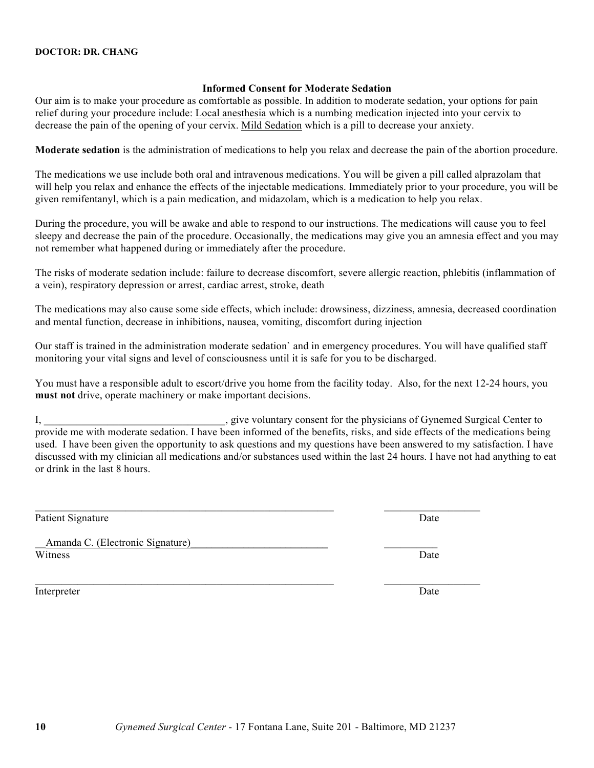#### **Informed Consent for Moderate Sedation**

Our aim is to make your procedure as comfortable as possible. In addition to moderate sedation, your options for pain relief during your procedure include: Local anesthesia which is a numbing medication injected into your cervix to decrease the pain of the opening of your cervix. Mild Sedation which is a pill to decrease your anxiety.

**Moderate sedation** is the administration of medications to help you relax and decrease the pain of the abortion procedure.

The medications we use include both oral and intravenous medications. You will be given a pill called alprazolam that will help you relax and enhance the effects of the injectable medications. Immediately prior to your procedure, you will be given remifentanyl, which is a pain medication, and midazolam, which is a medication to help you relax.

During the procedure, you will be awake and able to respond to our instructions. The medications will cause you to feel sleepy and decrease the pain of the procedure. Occasionally, the medications may give you an amnesia effect and you may not remember what happened during or immediately after the procedure.

The risks of moderate sedation include: failure to decrease discomfort, severe allergic reaction, phlebitis (inflammation of a vein), respiratory depression or arrest, cardiac arrest, stroke, death

The medications may also cause some side effects, which include: drowsiness, dizziness, amnesia, decreased coordination and mental function, decrease in inhibitions, nausea, vomiting, discomfort during injection

Our staff is trained in the administration moderate sedation` and in emergency procedures. You will have qualified staff monitoring your vital signs and level of consciousness until it is safe for you to be discharged.

You must have a responsible adult to escort/drive you home from the facility today. Also, for the next 12-24 hours, you **must not** drive, operate machinery or make important decisions.

I, \_\_\_\_\_\_\_\_\_\_\_\_\_\_\_\_\_\_\_\_\_\_\_\_\_\_\_\_\_\_\_\_\_\_, give voluntary consent for the physicians of Gynemed Surgical Center to provide me with moderate sedation. I have been informed of the benefits, risks, and side effects of the medications being used. I have been given the opportunity to ask questions and my questions have been answered to my satisfaction. I have discussed with my clinician all medications and/or substances used within the last 24 hours. I have not had anything to eat or drink in the last 8 hours.

Patient Signature

Amanda C. (Electronic Signature) Witness

 $\mathcal{L}_\text{max} = \mathcal{L}_\text{max} = \mathcal{L}_\text{max} = \mathcal{L}_\text{max} = \mathcal{L}_\text{max} = \mathcal{L}_\text{max} = \mathcal{L}_\text{max} = \mathcal{L}_\text{max} = \mathcal{L}_\text{max} = \mathcal{L}_\text{max} = \mathcal{L}_\text{max} = \mathcal{L}_\text{max} = \mathcal{L}_\text{max} = \mathcal{L}_\text{max} = \mathcal{L}_\text{max} = \mathcal{L}_\text{max} = \mathcal{L}_\text{max} = \mathcal{L}_\text{max} = \mathcal{$ 

 $\mathcal{L}_\text{max} = \mathcal{L}_\text{max} = \mathcal{L}_\text{max} = \mathcal{L}_\text{max} = \mathcal{L}_\text{max} = \mathcal{L}_\text{max} = \mathcal{L}_\text{max} = \mathcal{L}_\text{max} = \mathcal{L}_\text{max} = \mathcal{L}_\text{max} = \mathcal{L}_\text{max} = \mathcal{L}_\text{max} = \mathcal{L}_\text{max} = \mathcal{L}_\text{max} = \mathcal{L}_\text{max} = \mathcal{L}_\text{max} = \mathcal{L}_\text{max} = \mathcal{L}_\text{max} = \mathcal{$ 

Interpreter Date



 $\mathcal{L}=\mathcal{L}^{\mathcal{L}}$ **Date** 

 $\overline{\phantom{a}}$  , where  $\overline{\phantom{a}}$ Date

 $\mathcal{L}_\text{max}$  and  $\mathcal{L}_\text{max}$  and  $\mathcal{L}_\text{max}$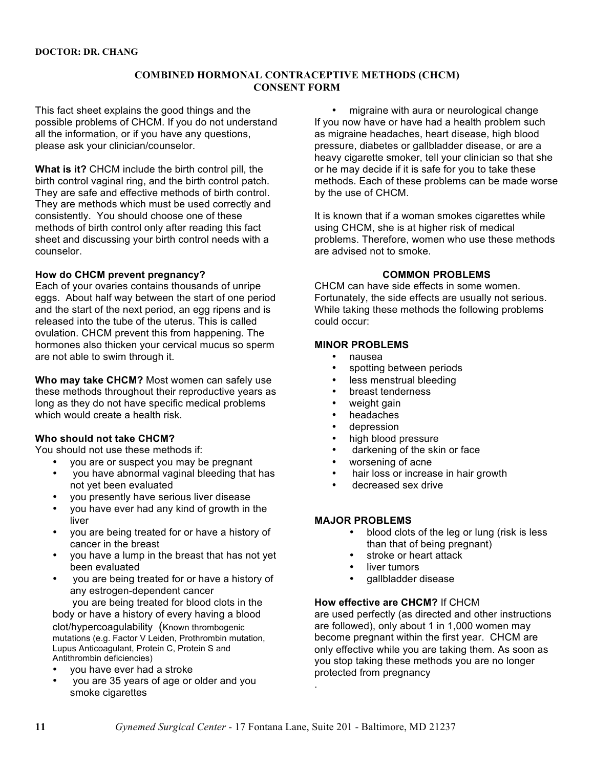### **COMBINED HORMONAL CONTRACEPTIVE METHODS (CHCM) CONSENT FORM**

This fact sheet explains the good things and the possible problems of CHCM. If you do not understand all the information, or if you have any questions, please ask your clinician/counselor.

**What is it?** CHCM include the birth control pill, the birth control vaginal ring, and the birth control patch. They are safe and effective methods of birth control. They are methods which must be used correctly and consistently. You should choose one of these methods of birth control only after reading this fact sheet and discussing your birth control needs with a counselor.

#### **How do CHCM prevent pregnancy?**

Each of your ovaries contains thousands of unripe eggs. About half way between the start of one period and the start of the next period, an egg ripens and is released into the tube of the uterus. This is called ovulation. CHCM prevent this from happening. The hormones also thicken your cervical mucus so sperm are not able to swim through it.

**Who may take CHCM?** Most women can safely use these methods throughout their reproductive years as long as they do not have specific medical problems which would create a health risk.

#### **Who should not take CHCM?**

You should not use these methods if:

- you are or suspect you may be pregnant
- you have abnormal vaginal bleeding that has not yet been evaluated
- you presently have serious liver disease
- you have ever had any kind of growth in the liver
- you are being treated for or have a history of cancer in the breast
- you have a lump in the breast that has not yet been evaluated
- you are being treated for or have a history of any estrogen-dependent cancer you are being treated for blood clots in the body or have a history of every having a blood

clot/hypercoagulability (Known thrombogenic mutations (e.g. Factor V Leiden, Prothrombin mutation, Lupus Anticoagulant, Protein C, Protein S and Antithrombin deficiencies)

- you have ever had a stroke
- you are 35 years of age or older and you smoke cigarettes

• migraine with aura or neurological change If you now have or have had a health problem such as migraine headaches, heart disease, high blood pressure, diabetes or gallbladder disease, or are a heavy cigarette smoker, tell your clinician so that she or he may decide if it is safe for you to take these methods. Each of these problems can be made worse by the use of CHCM.

It is known that if a woman smokes cigarettes while using CHCM, she is at higher risk of medical problems. Therefore, women who use these methods are advised not to smoke.

### **COMMON PROBLEMS**

CHCM can have side effects in some women. Fortunately, the side effects are usually not serious. While taking these methods the following problems could occur:

### **MINOR PROBLEMS**

- nausea<br>• spotting
- spotting between periods<br>• less menstrual bleeding
- less menstrual bleeding
- breast tenderness
- weight gain<br>• beadaches
- headaches
- depression
- high blood pressure
- darkening of the skin or face
- worsening of acne
- hair loss or increase in hair growth
- decreased sex drive

### **MAJOR PROBLEMS**

- blood clots of the leg or lung (risk is less than that of being pregnant)
	- stroke or heart attack
- liver tumors
- gallbladder disease

### **How effective are CHCM?** If CHCM

are used perfectly (as directed and other instructions are followed), only about 1 in 1,000 women may become pregnant within the first year. CHCM are only effective while you are taking them. As soon as you stop taking these methods you are no longer protected from pregnancy

.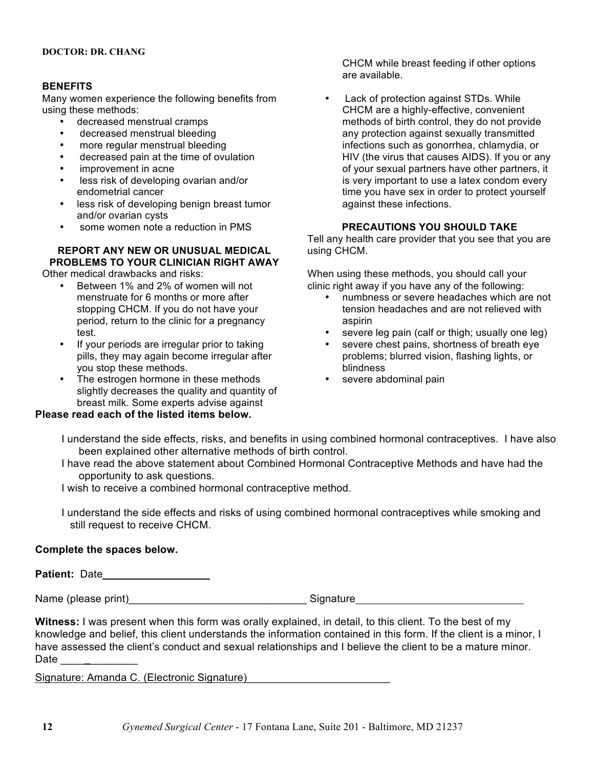#### **BENEFITS**

Many women experience the following benefits from using these methods:

- decreased menstrual cramps
- decreased menstrual bleeding<br>• more requier menstrual bleeding
- more regular menstrual bleeding
- decreased pain at the time of ovulation
- improvement in acne
- less risk of developing ovarian and/or endometrial cancer
- less risk of developing benign breast tumor and/or ovarian cysts
- some women note a reduction in PMS

# **REPORT ANY NEW OR UNUSUAL MEDICAL PROBLEMS TO YOUR CLINICIAN RIGHT AWAY**

Other medical drawbacks and risks:

- Between 1% and 2% of women will not menstruate for 6 months or more after stopping CHCM. If you do not have your period, return to the clinic for a pregnancy test.
- If your periods are irregular prior to taking pills, they may again become irregular after you stop these methods.
- The estrogen hormone in these methods slightly decreases the quality and quantity of breast milk. Some experts advise against

### **Please read each of the listed items below.**

CHCM while breast feeding if other options are available.

Lack of protection against STDs. While CHCM are a highly-effective, convenient methods of birth control, they do not provide any protection against sexually transmitted infections such as gonorrhea, chlamydia, or HIV (the virus that causes AIDS). If you or any of your sexual partners have other partners, it is very important to use a latex condom every time you have sex in order to protect yourself against these infections.

### **PRECAUTIONS YOU SHOULD TAKE**

Tell any health care provider that you see that you are using CHCM.

When using these methods, you should call your clinic right away if you have any of the following:

- numbness or severe headaches which are not tension headaches and are not relieved with aspirin
- severe leg pain (calf or thigh; usually one leg)<br>• severe chest pains, shortness of breath eve
- severe chest pains, shortness of breath eye problems; blurred vision, flashing lights, or blindness
- severe abdominal pain
- I understand the side effects, risks, and benefits in using combined hormonal contraceptives. I have also been explained other alternative methods of birth control.
- I have read the above statement about Combined Hormonal Contraceptive Methods and have had the opportunity to ask questions.

I wish to receive a combined hormonal contraceptive method.

 I understand the side effects and risks of using combined hormonal contraceptives while smoking and still request to receive CHCM.

### **Complete the spaces below.**

**Patient:** Date

Name (please print)\_\_\_\_\_\_\_\_\_\_\_\_\_\_\_\_\_\_\_\_\_\_\_\_\_\_\_\_\_\_ Signature

**Witness:** I was present when this form was orally explained, in detail, to this client. To the best of my knowledge and belief, this client understands the information contained in this form. If the client is a minor, I have assessed the client's conduct and sexual relationships and I believe the client to be a mature minor. Date

Signature: Amanda C. (Electronic Signature)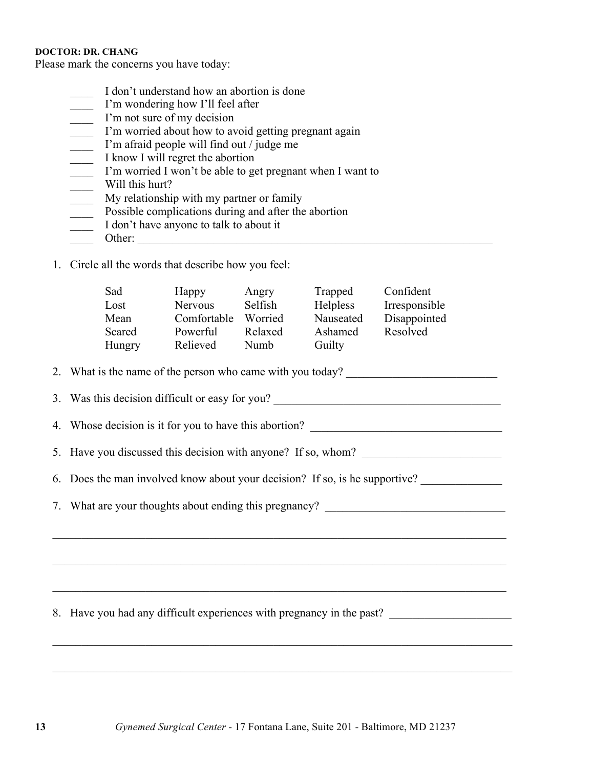Please mark the concerns you have today:

- \_\_\_\_ I don't understand how an abortion is done
- \_\_\_\_ I'm wondering how I'll feel after
- I'm not sure of my decision
- \_\_\_\_ I'm worried about how to avoid getting pregnant again
- \_\_\_\_ I'm afraid people will find out / judge me
- \_\_\_\_ I know I will regret the abortion
- \_\_\_\_ I'm worried I won't be able to get pregnant when I want to
- \_\_\_\_ Will this hurt?
- \_\_\_\_ My relationship with my partner or family
- **Possible complications during and after the abortion**
- \_\_\_\_ I don't have anyone to talk to about it
- \_\_\_\_ Other: \_\_\_\_\_\_\_\_\_\_\_\_\_\_\_\_\_\_\_\_\_\_\_\_\_\_\_\_\_\_\_\_\_\_\_\_\_\_\_\_\_\_\_\_\_\_\_\_\_\_\_\_\_\_\_\_\_\_\_\_\_
- 1. Circle all the words that describe how you feel:

| Sad<br>Lost<br>Mean<br>Scared<br>Hungry                                          | Happy<br>Nervous<br>Comfortable<br>Powerful<br>Relieved | Angry<br>Selfish<br>Worried<br>Relaxed<br>Numb | Trapped<br>Helpless<br>Nauseated<br>Ashamed<br>Guilty | Confident<br>Irresponsible<br>Disappointed<br>Resolved                |  |
|----------------------------------------------------------------------------------|---------------------------------------------------------|------------------------------------------------|-------------------------------------------------------|-----------------------------------------------------------------------|--|
|                                                                                  |                                                         |                                                |                                                       | 2. What is the name of the person who came with you today?            |  |
|                                                                                  |                                                         |                                                |                                                       | 3. Was this decision difficult or easy for you?                       |  |
|                                                                                  |                                                         |                                                |                                                       | 4. Whose decision is it for you to have this abortion?                |  |
| 5. Have you discussed this decision with anyone? If so, whom?                    |                                                         |                                                |                                                       |                                                                       |  |
| 6. Does the man involved know about your decision? If so, is he supportive?      |                                                         |                                                |                                                       |                                                                       |  |
| 7. What are your thoughts about ending this pregnancy? _________________________ |                                                         |                                                |                                                       |                                                                       |  |
|                                                                                  |                                                         |                                                |                                                       |                                                                       |  |
|                                                                                  |                                                         |                                                |                                                       |                                                                       |  |
|                                                                                  |                                                         |                                                |                                                       |                                                                       |  |
|                                                                                  |                                                         |                                                |                                                       | 8. Have you had any difficult experiences with pregnancy in the past? |  |
|                                                                                  |                                                         |                                                |                                                       |                                                                       |  |
|                                                                                  |                                                         |                                                |                                                       |                                                                       |  |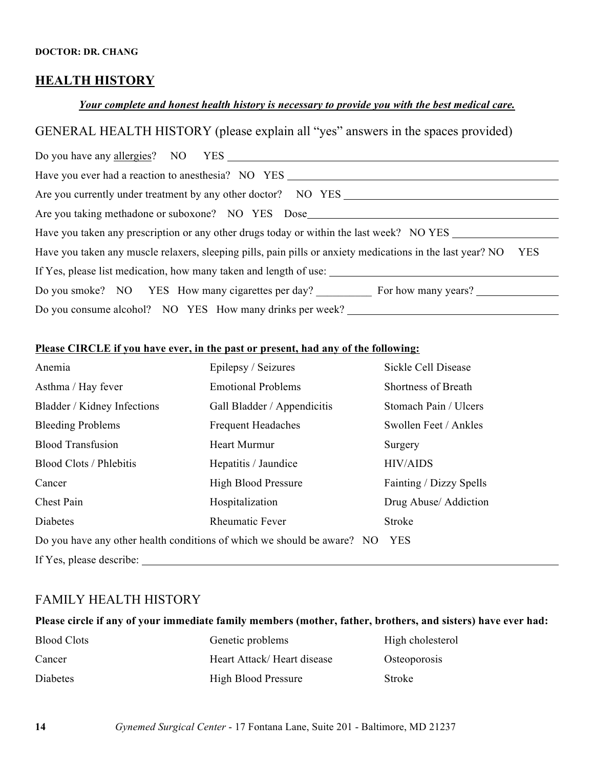### **HEALTH HISTORY**

### *Your complete and honest health history is necessary to provide you with the best medical care.*

# GENERAL HEALTH HISTORY (please explain all "yes" answers in the spaces provided)

| Do you have any <u>allergies</u> ? NO YES                                                                                |  |  |  |
|--------------------------------------------------------------------------------------------------------------------------|--|--|--|
| Have you ever had a reaction to anesthesia? NO YES                                                                       |  |  |  |
| Are you currently under treatment by any other doctor? NO YES                                                            |  |  |  |
| Are you taking methadone or suboxone? NO YES Dose                                                                        |  |  |  |
| Have you taken any prescription or any other drugs today or within the last week? NO YES                                 |  |  |  |
| <b>YES</b><br>Have you taken any muscle relaxers, sleeping pills, pain pills or anxiety medications in the last year? NO |  |  |  |
| If Yes, please list medication, how many taken and length of use:                                                        |  |  |  |
| Do you smoke? NO YES How many cigarettes per day? For how many years?                                                    |  |  |  |
| Do you consume alcohol? NO YES How many drinks per week?                                                                 |  |  |  |

### **Please CIRCLE if you have ever, in the past or present, had any of the following:**

| Anemia                                                                                | Epilepsy / Seizures         | Sickle Cell Disease     |  |  |
|---------------------------------------------------------------------------------------|-----------------------------|-------------------------|--|--|
| Asthma / Hay fever                                                                    | <b>Emotional Problems</b>   | Shortness of Breath     |  |  |
| Bladder / Kidney Infections                                                           | Gall Bladder / Appendicitis | Stomach Pain / Ulcers   |  |  |
| <b>Bleeding Problems</b>                                                              | <b>Frequent Headaches</b>   | Swollen Feet / Ankles   |  |  |
| <b>Blood Transfusion</b>                                                              | Heart Murmur                | Surgery                 |  |  |
| <b>Blood Clots / Phlebitis</b>                                                        | Hepatitis / Jaundice        | <b>HIV/AIDS</b>         |  |  |
| Cancer                                                                                | <b>High Blood Pressure</b>  | Fainting / Dizzy Spells |  |  |
| Chest Pain                                                                            | Hospitalization             | Drug Abuse/ Addiction   |  |  |
| Diabetes                                                                              | <b>Rheumatic Fever</b>      | Stroke                  |  |  |
| Do you have any other health conditions of which we should be aware? NO<br><b>YES</b> |                             |                         |  |  |
| If Yes, please describe:                                                              |                             |                         |  |  |

### FAMILY HEALTH HISTORY

### **Please circle if any of your immediate family members (mother, father, brothers, and sisters) have ever had:**

| <b>Blood Clots</b> | Genetic problems           | High cholesterol |
|--------------------|----------------------------|------------------|
| Cancer             | Heart Attack/Heart disease | Osteoporosis     |
| <b>Diabetes</b>    | <b>High Blood Pressure</b> | Stroke           |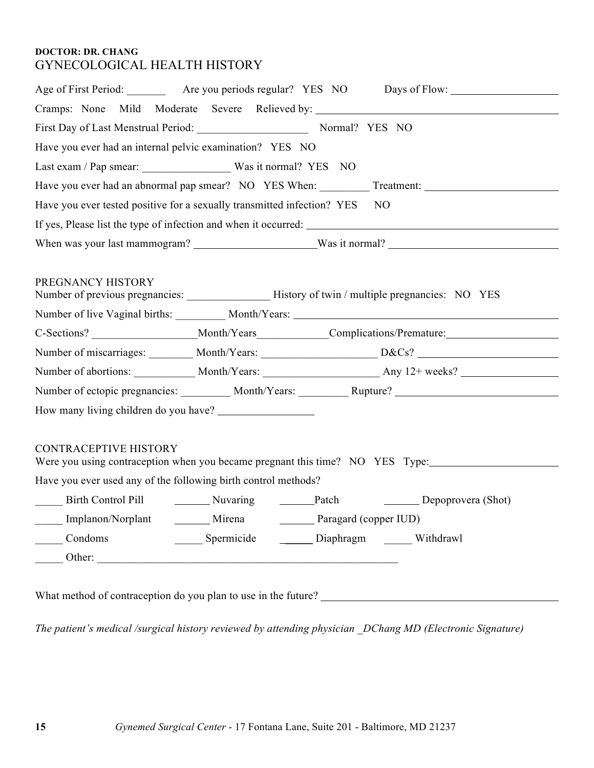### **DOCTOR: DR. CHANG** GYNECOLOGICAL HEALTH HISTORY

|                                                                         |                                               |  | Age of First Period: ____________ Are you periods regular? YES NO Days of Flow: ____________________           |  |
|-------------------------------------------------------------------------|-----------------------------------------------|--|----------------------------------------------------------------------------------------------------------------|--|
| Cramps: None Mild Moderate Severe Relieved by:                          |                                               |  |                                                                                                                |  |
| First Day of Last Menstrual Period: Normal? YES NO                      |                                               |  |                                                                                                                |  |
| Have you ever had an internal pelvic examination? YES NO                |                                               |  |                                                                                                                |  |
|                                                                         |                                               |  |                                                                                                                |  |
|                                                                         |                                               |  |                                                                                                                |  |
| Have you ever tested positive for a sexually transmitted infection? YES |                                               |  | NO                                                                                                             |  |
|                                                                         |                                               |  |                                                                                                                |  |
|                                                                         |                                               |  |                                                                                                                |  |
|                                                                         |                                               |  |                                                                                                                |  |
| PREGNANCY HISTORY                                                       |                                               |  |                                                                                                                |  |
|                                                                         |                                               |  | Number of live Vaginal births: __________ Month/Years: __________________________                              |  |
|                                                                         |                                               |  |                                                                                                                |  |
|                                                                         |                                               |  | Number of miscarriages: ________ Month/Years: __________________________D&Cs? ________________________________ |  |
|                                                                         |                                               |  |                                                                                                                |  |
|                                                                         |                                               |  | Number of ectopic pregnancies: _________ Month/Years: _________ Rupture? ___________________________           |  |
|                                                                         |                                               |  |                                                                                                                |  |
|                                                                         |                                               |  |                                                                                                                |  |
| <b>CONTRACEPTIVE HISTORY</b>                                            |                                               |  | Were you using contraception when you became pregnant this time? NO YES Type:                                  |  |
| Have you ever used any of the following birth control methods?          |                                               |  |                                                                                                                |  |
|                                                                         |                                               |  | Patch Depoprovera (Shot)                                                                                       |  |
| Implanon/Norplant<br>Mirena<br>Paragard (copper IUD)                    |                                               |  |                                                                                                                |  |
| Condoms                                                                 | Spermicide _______ Diaphragm ______ Withdrawl |  |                                                                                                                |  |
|                                                                         |                                               |  |                                                                                                                |  |
|                                                                         |                                               |  |                                                                                                                |  |
| What method of contraception do you plan to use in the future?          |                                               |  |                                                                                                                |  |

*The patient's medical /surgical history reviewed by attending physician \_DChang MD (Electronic Signature)*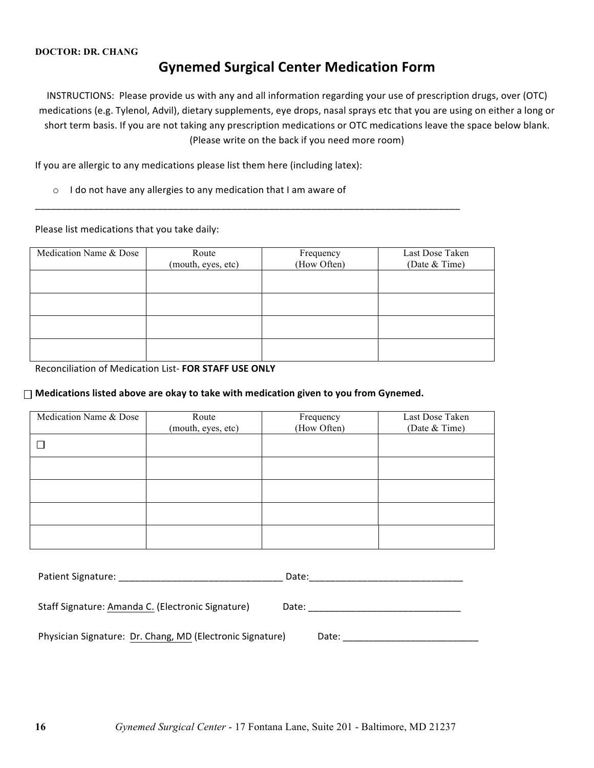# **Gynemed Surgical Center Medication Form**

INSTRUCTIONS: Please provide us with any and all information regarding your use of prescription drugs, over (OTC) medications (e.g. Tylenol, Advil), dietary supplements, eye drops, nasal sprays etc that you are using on either a long or short term basis. If you are not taking any prescription medications or OTC medications leave the space below blank. (Please write on the back if you need more room)

If you are allergic to any medications please list them here (including latex):

 $\circ$  I do not have any allergies to any medication that I am aware of

Please list medications that you take daily:

| Medication Name & Dose | Route              | Frequency   | Last Dose Taken |
|------------------------|--------------------|-------------|-----------------|
|                        | (mouth, eyes, etc) | (How Often) | (Date & Time)   |
|                        |                    |             |                 |
|                        |                    |             |                 |
|                        |                    |             |                 |
|                        |                    |             |                 |
|                        |                    |             |                 |
|                        |                    |             |                 |
|                        |                    |             |                 |
|                        |                    |             |                 |

\_\_\_\_\_\_\_\_\_\_\_\_\_\_\_\_\_\_\_\_\_\_\_\_\_\_\_\_\_\_\_\_\_\_\_\_\_\_\_\_\_\_\_\_\_\_\_\_\_\_\_\_\_\_\_\_\_\_\_\_\_\_\_\_\_\_\_\_\_\_\_\_\_\_\_\_\_\_\_\_

Reconciliation of Medication List- FOR STAFF USE ONLY

#### $\Box$  Medications listed above are okay to take with medication given to you from Gynemed.

| Medication Name & Dose | Route              | Frequency   | Last Dose Taken |
|------------------------|--------------------|-------------|-----------------|
|                        | (mouth, eyes, etc) | (How Often) | (Date & Time)   |
| $\blacksquare$         |                    |             |                 |
|                        |                    |             |                 |
|                        |                    |             |                 |
|                        |                    |             |                 |
|                        |                    |             |                 |

| Patient Signature:                                        | Date: |
|-----------------------------------------------------------|-------|
| Staff Signature: Amanda C. (Electronic Signature)         | Date: |
| Physician Signature: Dr. Chang, MD (Electronic Signature) | Date: |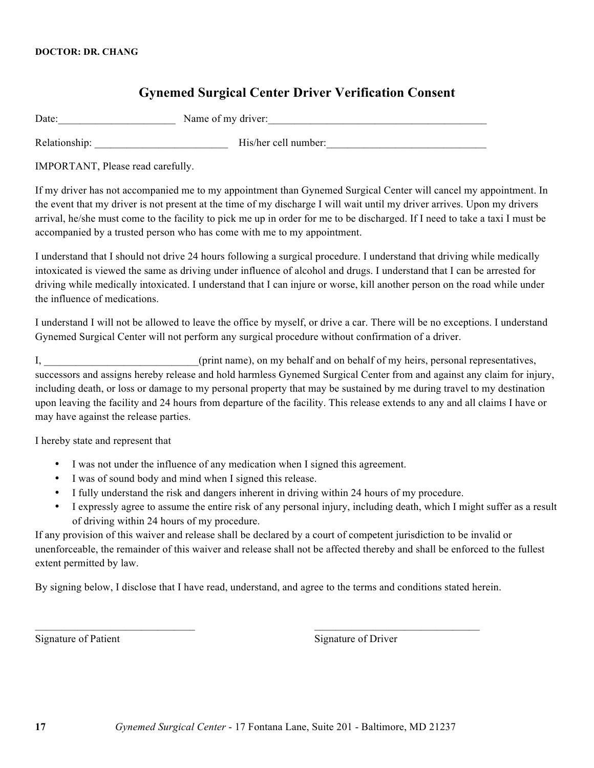# **Gynemed Surgical Center Driver Verification Consent**

| Date: | Name of my driver: |  |
|-------|--------------------|--|
|       |                    |  |

Relationship: \_\_\_\_\_\_\_\_\_\_\_\_\_\_\_\_\_\_\_\_\_\_\_\_\_ His/her cell number:\_\_\_\_\_\_\_\_\_\_\_\_\_\_\_\_\_\_\_\_\_\_\_\_\_\_\_\_\_\_

IMPORTANT, Please read carefully.

If my driver has not accompanied me to my appointment than Gynemed Surgical Center will cancel my appointment. In the event that my driver is not present at the time of my discharge I will wait until my driver arrives. Upon my drivers arrival, he/she must come to the facility to pick me up in order for me to be discharged. If I need to take a taxi I must be accompanied by a trusted person who has come with me to my appointment.

I understand that I should not drive 24 hours following a surgical procedure. I understand that driving while medically intoxicated is viewed the same as driving under influence of alcohol and drugs. I understand that I can be arrested for driving while medically intoxicated. I understand that I can injure or worse, kill another person on the road while under the influence of medications.

I understand I will not be allowed to leave the office by myself, or drive a car. There will be no exceptions. I understand Gynemed Surgical Center will not perform any surgical procedure without confirmation of a driver.

I, the contract of print name), on my behalf and on behalf of my heirs, personal representatives, successors and assigns hereby release and hold harmless Gynemed Surgical Center from and against any claim for injury, including death, or loss or damage to my personal property that may be sustained by me during travel to my destination upon leaving the facility and 24 hours from departure of the facility. This release extends to any and all claims I have or may have against the release parties.

I hereby state and represent that

- I was not under the influence of any medication when I signed this agreement.
- I was of sound body and mind when I signed this release.
- I fully understand the risk and dangers inherent in driving within 24 hours of my procedure.
- I expressly agree to assume the entire risk of any personal injury, including death, which I might suffer as a result of driving within 24 hours of my procedure.

If any provision of this waiver and release shall be declared by a court of competent jurisdiction to be invalid or unenforceable, the remainder of this waiver and release shall not be affected thereby and shall be enforced to the fullest extent permitted by law.

By signing below, I disclose that I have read, understand, and agree to the terms and conditions stated herein.

 $\mathcal{L}_\text{max} = \mathcal{L}_\text{max} = \mathcal{L}_\text{max} = \mathcal{L}_\text{max} = \mathcal{L}_\text{max} = \mathcal{L}_\text{max} = \mathcal{L}_\text{max} = \mathcal{L}_\text{max} = \mathcal{L}_\text{max} = \mathcal{L}_\text{max} = \mathcal{L}_\text{max} = \mathcal{L}_\text{max} = \mathcal{L}_\text{max} = \mathcal{L}_\text{max} = \mathcal{L}_\text{max} = \mathcal{L}_\text{max} = \mathcal{L}_\text{max} = \mathcal{L}_\text{max} = \mathcal{$ 

Signature of Patient Signature of Driver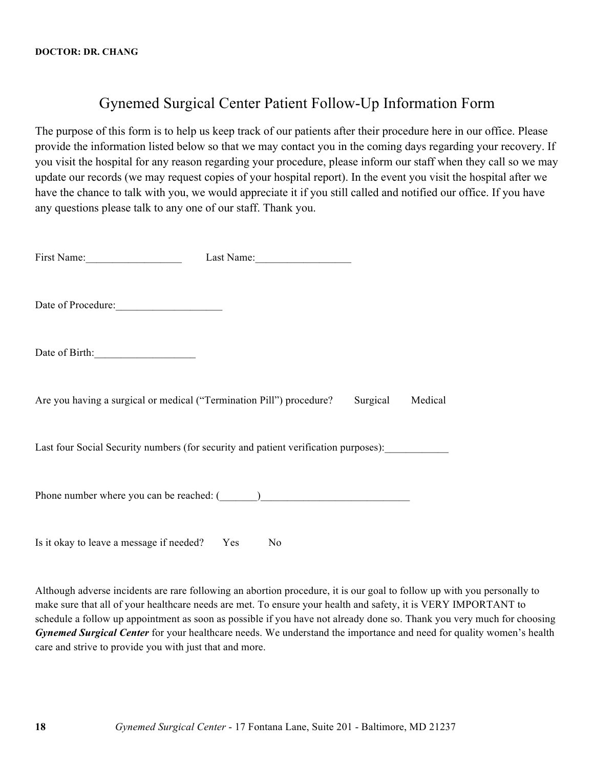# Gynemed Surgical Center Patient Follow-Up Information Form

The purpose of this form is to help us keep track of our patients after their procedure here in our office. Please provide the information listed below so that we may contact you in the coming days regarding your recovery. If you visit the hospital for any reason regarding your procedure, please inform our staff when they call so we may update our records (we may request copies of your hospital report). In the event you visit the hospital after we have the chance to talk with you, we would appreciate it if you still called and notified our office. If you have any questions please talk to any one of our staff. Thank you.

| First Name:                                                                           | Last Name: |  |
|---------------------------------------------------------------------------------------|------------|--|
| Date of Procedure:                                                                    |            |  |
| Date of Birth:                                                                        |            |  |
| Are you having a surgical or medical ("Termination Pill") procedure? Surgical Medical |            |  |
| Last four Social Security numbers (for security and patient verification purposes):   |            |  |
| Phone number where you can be reached: (1998)                                         |            |  |

Is it okay to leave a message if needed? Yes No

Although adverse incidents are rare following an abortion procedure, it is our goal to follow up with you personally to make sure that all of your healthcare needs are met. To ensure your health and safety, it is VERY IMPORTANT to schedule a follow up appointment as soon as possible if you have not already done so. Thank you very much for choosing *Gynemed Surgical Center* for your healthcare needs. We understand the importance and need for quality women's health care and strive to provide you with just that and more.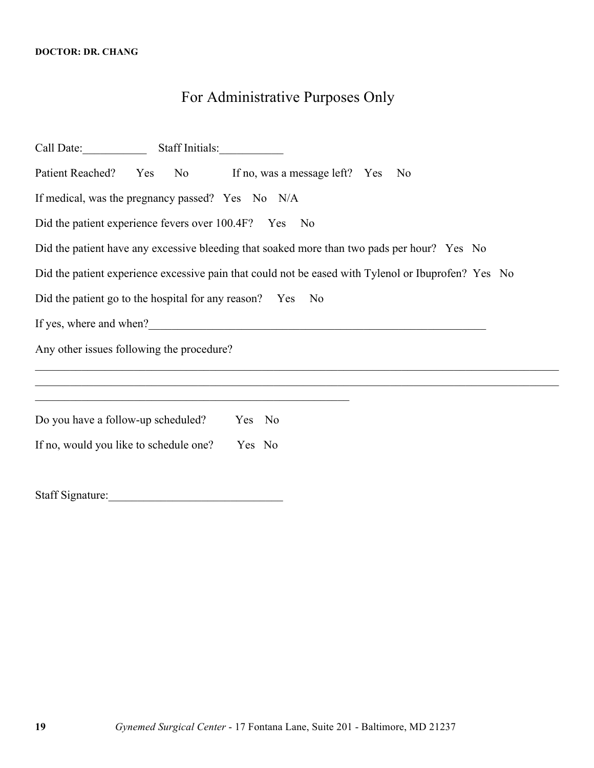# For Administrative Purposes Only

| Call Date: Staff Initials:                                                                                                                                             |                                                                                                     |
|------------------------------------------------------------------------------------------------------------------------------------------------------------------------|-----------------------------------------------------------------------------------------------------|
| Patient Reached? Yes No If no, was a message left? Yes No                                                                                                              |                                                                                                     |
| If medical, was the pregnancy passed? Yes No N/A                                                                                                                       |                                                                                                     |
| Did the patient experience fevers over 100.4F? Yes No                                                                                                                  |                                                                                                     |
| Did the patient have any excessive bleeding that soaked more than two pads per hour? Yes No                                                                            |                                                                                                     |
|                                                                                                                                                                        | Did the patient experience excessive pain that could not be eased with Tylenol or Ibuprofen? Yes No |
| Did the patient go to the hospital for any reason? Yes                                                                                                                 | No                                                                                                  |
|                                                                                                                                                                        |                                                                                                     |
| Any other issues following the procedure?                                                                                                                              |                                                                                                     |
|                                                                                                                                                                        |                                                                                                     |
| <u> 1989 - Johann John Harry Harry Harry Harry Harry Harry Harry Harry Harry Harry Harry Harry Harry Harry Harry H</u><br>Do you have a follow-up scheduled?<br>Yes No |                                                                                                     |
| If no, would you like to schedule one?<br>Yes No                                                                                                                       |                                                                                                     |
| <b>Staff Signature:</b>                                                                                                                                                |                                                                                                     |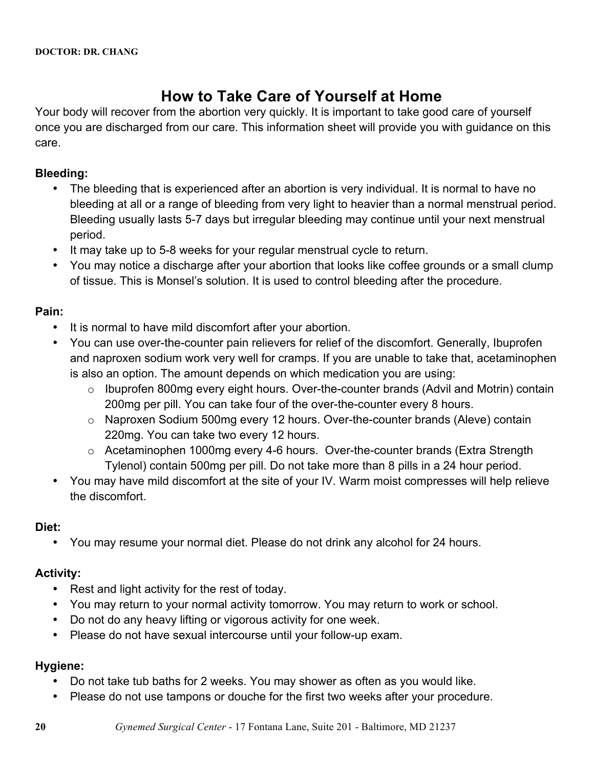# **How to Take Care of Yourself at Home**

Your body will recover from the abortion very quickly. It is important to take good care of yourself once you are discharged from our care. This information sheet will provide you with guidance on this care.

# **Bleeding:**

- The bleeding that is experienced after an abortion is very individual. It is normal to have no bleeding at all or a range of bleeding from very light to heavier than a normal menstrual period. Bleeding usually lasts 5-7 days but irregular bleeding may continue until your next menstrual period.
- It may take up to 5-8 weeks for your regular menstrual cycle to return.
- You may notice a discharge after your abortion that looks like coffee grounds or a small clump of tissue. This is Monsel's solution. It is used to control bleeding after the procedure.

# **Pain:**

- It is normal to have mild discomfort after your abortion.
- You can use over-the-counter pain relievers for relief of the discomfort. Generally, Ibuprofen and naproxen sodium work very well for cramps. If you are unable to take that, acetaminophen is also an option. The amount depends on which medication you are using:
	- o Ibuprofen 800mg every eight hours. Over-the-counter brands (Advil and Motrin) contain 200mg per pill. You can take four of the over-the-counter every 8 hours.
	- o Naproxen Sodium 500mg every 12 hours. Over-the-counter brands (Aleve) contain 220mg. You can take two every 12 hours.
	- o Acetaminophen 1000mg every 4-6 hours. Over-the-counter brands (Extra Strength Tylenol) contain 500mg per pill. Do not take more than 8 pills in a 24 hour period.
- You may have mild discomfort at the site of your IV. Warm moist compresses will help relieve the discomfort.

### **Diet:**

• You may resume your normal diet. Please do not drink any alcohol for 24 hours.

# **Activity:**

- Rest and light activity for the rest of today.
- You may return to your normal activity tomorrow. You may return to work or school.
- Do not do any heavy lifting or vigorous activity for one week.
- Please do not have sexual intercourse until your follow-up exam.

# **Hygiene:**

- Do not take tub baths for 2 weeks. You may shower as often as you would like.
- Please do not use tampons or douche for the first two weeks after your procedure.